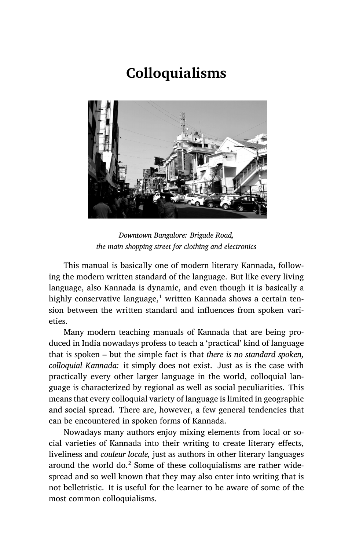# **Colloquialisms**



*Downtown Bangalore: Brigade Road, the main shopping street for clothing and electronics*

This manual is basically one of modern literary Kannada, following the modern written standard of the language. But like every living language, also Kannada is dynamic, and even though it is basically a highly conservative language, $1$  written Kannada shows a certain tension between the written standard and influences from spoken varieties.

Many modern teaching manuals of Kannada that are being produced in India nowadays profess to teach a 'practical' kind of language that is spoken – but the simple fact is that *there is no standard spoken, colloquial Kannada:* it simply does not exist. Just as is the case with practically every other larger language in the world, colloquial language is characterized by regional as well as social peculiarities. This means that every colloquial variety of language is limited in geographic and social spread. There are, however, a few general tendencies that can be encountered in spoken forms of Kannada.

Nowadays many authors enjoy mixing elements from local or social varieties of Kannada into their writing to create literary effects, liveliness and *couleur locale,* just as authors in other literary languages around the world do. $2$  Some of these colloquialisms are rather widespread and so well known that they may also enter into writing that is not belletristic. It is useful for the learner to be aware of some of the most common colloquialisms.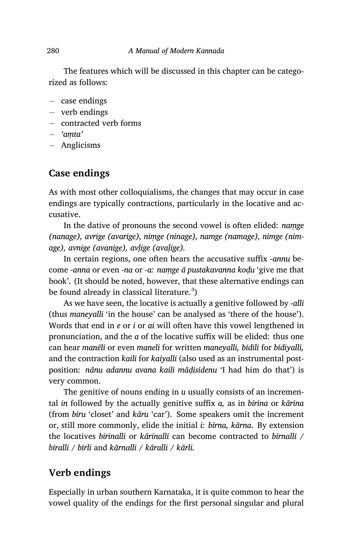The features which will be discussed in this chapter can be categorized as follows:

- *−* case endings
- *−* verb endings
- *−* contracted verb forms
- *− 'aṃta'*
- *−* Anglicisms

# **Case endings**

As with most other colloquialisms, the changes that may occur in case endings are typically contractions, particularly in the locative and accusative.

In the dative of pronouns the second vowel is often elided: *naṃge (nanage), avrige (avarige), niṃge (ninage), namge (namage), nimge (nimage), avnige (avanige), avḷige (avaḷige).*

In certain regions, one often hears the accusative suffix ‑*annu* become *‑anna* or even ‑*na* or *‑a: naṃge ā pustakavanna koḍu* 'give me that book'. (It should be noted, however, that these alternative endings can be found already in classical literature. $^3$ )

As we have seen, the locative is actually a genitive followed by *‑alli* (thus *maneyalli* 'in the house' can be analysed as 'there of the house'). Words that end in *e* or *i* or *ai* will often have this vowel lengthened in pronunciation, and the *a* of the locative suffix will be elided: thus one can hear *manēli* or even *maneli* for written *maneyalli, bīdīli* for *bīdiyalli,* and the contraction *kaili* for *kaiyalli* (also used as an instrumental postposition: *nānu adannu avana kaili māḍisidenu* 'I had him do that') is very common.

The genitive of nouns ending in *u* usually consists of an incremental *in* followed by the actually genitive suffix *a,* as in *bīrina* or *kārina* (from *bīru* 'closet' and *kāru* 'car'). Some speakers omit the increment or, still more commonly, elide the initial *i: bīrna, kārna*. By extension the locatives *bīrinalli* or *kārinalli* can become contracted to *bīrnalli / bīralli / bīrli* and *kārnalli / kāralli / kārli.*

# **Verb endings**

Especially in urban southern Karnataka, it is quite common to hear the vowel quality of the endings for the first personal singular and plural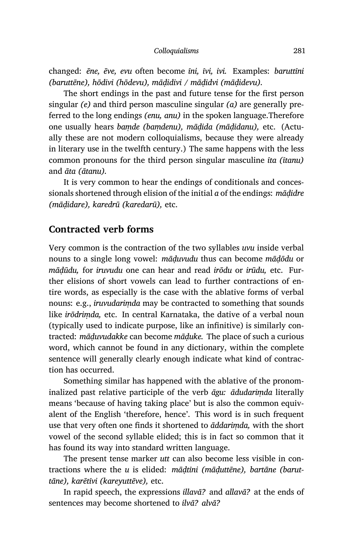changed: *ēne, ēve, evu* often become *īni, īvi, ivi.* Examples: *baruttīni (baruttēne), hōdivi (hōdevu), māḍidivi / māḍidvi (māḍidevu).*

The short endings in the past and future tense for the first person singular *(e)* and third person masculine singular *(a)* are generally preferred to the long endings *(enu, anu)* in the spoken language.Therefore one usually hears *baṃde (baṃdenu), māḍida (māḍidanu),* etc. (Actually these are not modern colloquialisms, because they were already in literary use in the twelfth century.) The same happens with the less common pronouns for the third person singular masculine *īta (ītanu)* and *āta (ātanu).*

It is very common to hear the endings of conditionals and concessionals shortened through elision of the initial *a* of the endings: *māḍidre (māḍidare), karedrū (karedarū),* etc.

### **Contracted verb forms**

Very common is the contraction of the two syllables *uvu* inside verbal nouns to a single long vowel: *māḍuvudu* thus can become *māḍōdu* or *māḍūdu,* for *iruvudu* one can hear and read *irōdu* or *irūdu,* etc. Further elisions of short vowels can lead to further contractions of entire words, as especially is the case with the ablative forms of verbal nouns: e.g., *iruvudariṃda* may be contracted to something that sounds like *irōdriṃda,* etc. In central Karnataka, the dative of a verbal noun (typically used to indicate purpose, like an infinitive) is similarly contracted: *māḍuvudakke* can become *māḍuke.* The place of such a curious word, which cannot be found in any dictionary, within the complete sentence will generally clearly enough indicate what kind of contraction has occurred.

Something similar has happened with the ablative of the pronominalized past relative participle of the verb *āgu: ādudariṃda* literally means 'because of having taking place' but is also the common equivalent of the English 'therefore, hence'. This word is in such frequent use that very often one finds it shortened to *āddariṃda,* with the short vowel of the second syllable elided; this is in fact so common that it has found its way into standard written language.

The present tense marker *utt* can also become less visible in contractions where the *u* is elided: *māḍtīni (māḍuttēne), bartāne (baruttāne), karētīvi (kareyuttēve),* etc.

In rapid speech, the expressions *illavā?* and *allavā?* at the ends of sentences may become shortened to *ilvā? alvā?*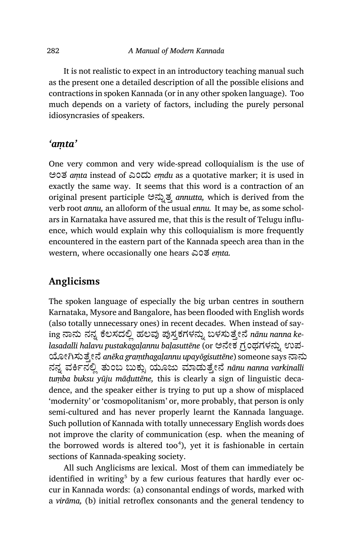It is not realistic to expect in an introductory teaching manual such as the present one a detailed description of all the possible elisions and contractions in spoken Kannada (or in any other spoken language). Too much depends on a variety of factors, including the purely personal idiosyncrasies of speakers.

# *'aṃta'*

One very common and very wide-spread colloquialism is the use of ಅಂತ *aṃta* instead of ಎಂದು *eṃdu* as a quotative marker; it is used in exactly the same way. It seems that this word is a contraction of an original present participle ಅನ್ನುತ್ತ *annutta*, which is derived from the verb root *annu,* an alloform of the usual *ennu.* It may be, as some scholars in Karnataka have assured me, that this is the result of Telugu influence, which would explain why this colloquialism is more frequently encountered in the eastern part of the Kannada speech area than in the western, where occasionally one hears ಎಂತ *eṃta.*

# **Anglicisms**

The spoken language of especially the big urban centres in southern Karnataka, Mysore and Bangalore, has been flooded with English words (also totally unnecessary ones) in recent decades. When instead of saying ನಾನು ನನ್ನ ಕೆಲಸದಲ್ಲಿ ಹಲವು ಪುಸ್ತಕಗಳನ್ನು ಬಳಸುತ್ತೇನೆ nānu nanna ke*lasadalli halavu pustakagalannu balasuttēne* (or ಅನೇಕ ಗ್ರಂಥಗಳನ್ನು ಉಪ-ŤೕĆಸುೆ³ೕೆ *anēka graṃthagaḷannu upayōgisuttēne*) someone says ಾನು ನನ್ನ ವರ್ಕಿನಲ್ಲಿ ತುಂಬ ಬುಕ್ಸು ಯೂಜು ಮಾಡುತ್ತೇನೆ *nānu nanna varkinalli tuṃba buksu yūju māḍuttēne,* this is clearly a sign of linguistic decadence, and the speaker either is trying to put up a show of misplaced 'modernity' or 'cosmopolitanism' or, more probably, that person is only semi-cultured and has never properly learnt the Kannada language. Such pollution of Kannada with totally unnecessary English words does not improve the clarity of communication (esp. when the meaning of the borrowed words is altered too<sup>4</sup>), yet it is fashionable in certain sections of Kannada-speaking society.

All such Anglicisms are lexical. Most of them can immediately be identified in writing<sup>5</sup> by a few curious features that hardly ever occur in Kannada words: (a) consonantal endings of words, marked with a *virāma,* (b) initial retroflex consonants and the general tendency to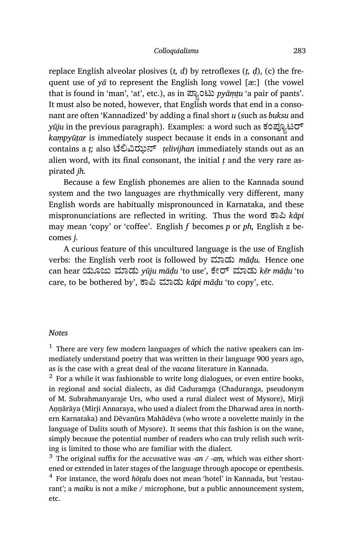replace English alveolar plosives (*t, d*) by retroflexes (*ṭ, ḍ*), (c) the frequent use of *yā* to represent the English long vowel [æ:] (the vowel that is found in 'man', 'at', etc.), as in ಪ್ಲಾಂಟು *pyāṃṭu* 'a pair of pants'. It must also be noted, however, that English words that end in a consonant are often 'Kannadized' by adding a final short *u* (such as *buksu* and *yūju* in the previous paragraph). Examples: a word such as ಕಂಪ್ಯೂಟರ್ *kaṃpyūṭar* is immediately suspect because it ends in a consonant and contains a *ṭ;* also ೆĩīಝ್ *ṭelivijhan* immediately stands out as an alien word, with its final consonant, the initial  *and the very rare as*pirated *jh.*

Because a few English phonemes are alien to the Kannada sound system and the two languages are rhythmically very different, many English words are habitually mispronounced in Karnataka, and these mispronunciations are reflected in writing. Thus the word ಾě *kāpi* may mean 'copy' or 'coffee'. English *f* becomes *p* or *ph,* English *z* becomes *j.*

A curious feature of this uncultured language is the use of English verbs: the English verb root is followed by ಾಡು *māḍu.* Hence one can hear ಯೂಜು ಾಡು *yūju māḍu* 'to use', ೇ್ ಾಡು *kēr māḍu* 'to care, to be bothered by', ಾě ಾಡು *kāpi māḍu* 'to copy', etc.

#### *Notes*

 $<sup>1</sup>$  There are very few modern languages of which the native speakers can im-</sup> mediately understand poetry that was written in their language 900 years ago, as is the case with a great deal of the *vacana* literature in Kannada.

 $^2\,$  For a while it was fashionable to write long dialogues, or even entire books, in regional and social dialects, as did Caduraṃga (Chaduranga, pseudonym of M. Subrahmanyaraje Urs, who used a rural dialect west of Mysore), Mirji Annārāya (Mirji Annaraya, who used a dialect from the Dharwad area in northern Karnataka) and Dēvanūra Mahādēva (who wrote a novelette mainly in the language of Dalits south of Mysore). It seems that this fashion is on the wane, simply because the potential number of readers who can truly relish such writing is limited to those who are familiar with the dialect.

<sup>3</sup> The original suffix for the accusative was *-an* / *-am*, which was either shortened or extended in later stages of the language through apocope or epenthesis. 4 For instance, the word *hōṭalu* does not mean 'hotel' in Kannada, but 'restaurant'; a *maiku* is not a mike / microphone, but a public announcement system, etc.